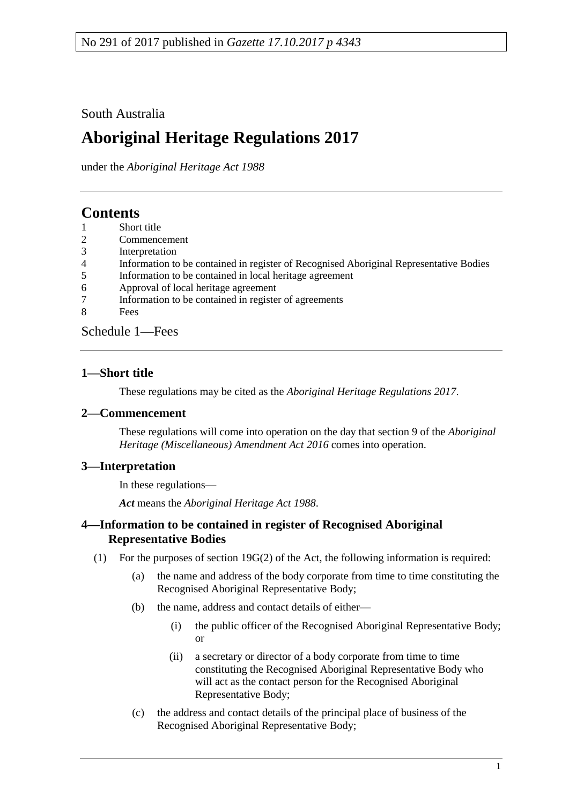# South Australia

# **Aboriginal Heritage Regulations 2017**

under the *Aboriginal Heritage Act 1988*

# **Contents**

- [Short title](#page-0-0)
- 2 [Commencement](#page-0-1)
- 3 [Interpretation](#page-0-2)
- 4 [Information to be contained in register of Recognised Aboriginal Representative Bodies](#page-0-3)
- 5 [Information to be contained in local heritage agreement](#page-1-0)<br>6 Approval of local heritage agreement
- 6 [Approval of local heritage agreement](#page-2-0)<br>7 Information to be contained in registe
- [Information to be contained in register of agreements](#page-2-1)
- 8 [Fees](#page-3-0)

[Schedule](#page-3-1) 1—Fees

# <span id="page-0-0"></span>**1—Short title**

These regulations may be cited as the *Aboriginal Heritage Regulations 2017*.

## <span id="page-0-1"></span>**2—Commencement**

These regulations will come into operation on the day that section 9 of the *[Aboriginal](http://www.legislation.sa.gov.au/index.aspx?action=legref&type=act&legtitle=Aboriginal%20Heritage%20(Miscellaneous)%20Amendment%20Act%202016)  [Heritage \(Miscellaneous\) Amendment Act](http://www.legislation.sa.gov.au/index.aspx?action=legref&type=act&legtitle=Aboriginal%20Heritage%20(Miscellaneous)%20Amendment%20Act%202016) 2016* comes into operation.

# <span id="page-0-2"></span>**3—Interpretation**

In these regulations—

*Act* means the *[Aboriginal Heritage Act](http://www.legislation.sa.gov.au/index.aspx?action=legref&type=act&legtitle=Aboriginal%20Heritage%20Act%201988) 1988*.

# <span id="page-0-3"></span>**4—Information to be contained in register of Recognised Aboriginal Representative Bodies**

- <span id="page-0-4"></span>(1) For the purposes of section 19G(2) of the Act, the following information is required:
	- (a) the name and address of the body corporate from time to time constituting the Recognised Aboriginal Representative Body;
	- (b) the name, address and contact details of either—
		- (i) the public officer of the Recognised Aboriginal Representative Body; or
		- (ii) a secretary or director of a body corporate from time to time constituting the Recognised Aboriginal Representative Body who will act as the contact person for the Recognised Aboriginal Representative Body;
	- (c) the address and contact details of the principal place of business of the Recognised Aboriginal Representative Body;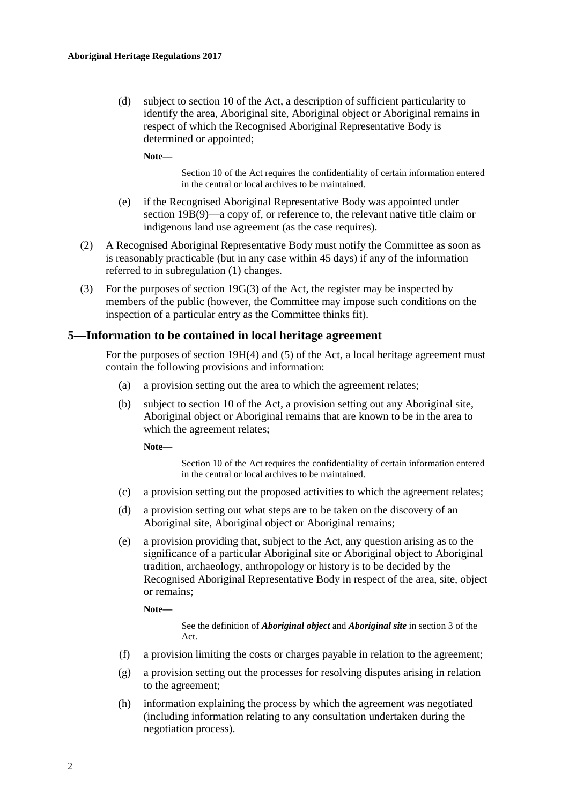(d) subject to section 10 of the Act, a description of sufficient particularity to identify the area, Aboriginal site, Aboriginal object or Aboriginal remains in respect of which the Recognised Aboriginal Representative Body is determined or appointed;

**Note—**

Section 10 of the Act requires the confidentiality of certain information entered in the central or local archives to be maintained.

- (e) if the Recognised Aboriginal Representative Body was appointed under section 19B(9)—a copy of, or reference to, the relevant native title claim or indigenous land use agreement (as the case requires).
- (2) A Recognised Aboriginal Representative Body must notify the Committee as soon as is reasonably practicable (but in any case within 45 days) if any of the information referred to in [subregulation](#page-0-4) (1) changes.
- (3) For the purposes of section 19G(3) of the Act, the register may be inspected by members of the public (however, the Committee may impose such conditions on the inspection of a particular entry as the Committee thinks fit).

#### <span id="page-1-0"></span>**5—Information to be contained in local heritage agreement**

For the purposes of section 19H(4) and (5) of the Act, a local heritage agreement must contain the following provisions and information:

- (a) a provision setting out the area to which the agreement relates;
- (b) subject to section 10 of the Act, a provision setting out any Aboriginal site, Aboriginal object or Aboriginal remains that are known to be in the area to which the agreement relates;

**Note—**

Section 10 of the Act requires the confidentiality of certain information entered in the central or local archives to be maintained.

- (c) a provision setting out the proposed activities to which the agreement relates;
- (d) a provision setting out what steps are to be taken on the discovery of an Aboriginal site, Aboriginal object or Aboriginal remains;
- (e) a provision providing that, subject to the Act, any question arising as to the significance of a particular Aboriginal site or Aboriginal object to Aboriginal tradition, archaeology, anthropology or history is to be decided by the Recognised Aboriginal Representative Body in respect of the area, site, object or remains;

**Note—**

See the definition of *Aboriginal object* and *Aboriginal site* in section 3 of the Act.

- (f) a provision limiting the costs or charges payable in relation to the agreement;
- (g) a provision setting out the processes for resolving disputes arising in relation to the agreement;
- (h) information explaining the process by which the agreement was negotiated (including information relating to any consultation undertaken during the negotiation process).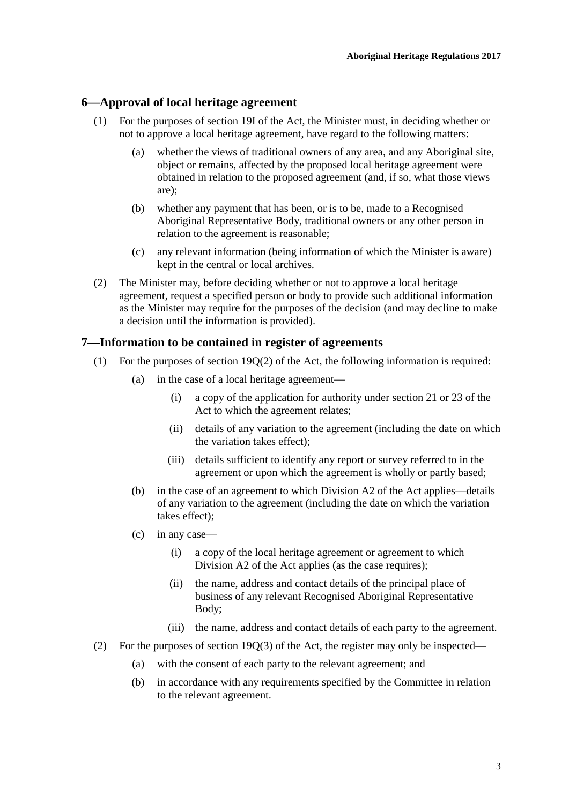#### <span id="page-2-0"></span>**6—Approval of local heritage agreement**

- (1) For the purposes of section 19I of the Act, the Minister must, in deciding whether or not to approve a local heritage agreement, have regard to the following matters:
	- (a) whether the views of traditional owners of any area, and any Aboriginal site, object or remains, affected by the proposed local heritage agreement were obtained in relation to the proposed agreement (and, if so, what those views are);
	- (b) whether any payment that has been, or is to be, made to a Recognised Aboriginal Representative Body, traditional owners or any other person in relation to the agreement is reasonable;
	- (c) any relevant information (being information of which the Minister is aware) kept in the central or local archives.
- (2) The Minister may, before deciding whether or not to approve a local heritage agreement, request a specified person or body to provide such additional information as the Minister may require for the purposes of the decision (and may decline to make a decision until the information is provided).

#### <span id="page-2-1"></span>**7—Information to be contained in register of agreements**

- (1) For the purposes of section  $19O(2)$  of the Act, the following information is required:
	- (a) in the case of a local heritage agreement—
		- (i) a copy of the application for authority under section 21 or 23 of the Act to which the agreement relates;
		- (ii) details of any variation to the agreement (including the date on which the variation takes effect);
		- (iii) details sufficient to identify any report or survey referred to in the agreement or upon which the agreement is wholly or partly based;
	- (b) in the case of an agreement to which Division A2 of the Act applies—details of any variation to the agreement (including the date on which the variation takes effect);
	- (c) in any case—
		- (i) a copy of the local heritage agreement or agreement to which Division A2 of the Act applies (as the case requires);
		- (ii) the name, address and contact details of the principal place of business of any relevant Recognised Aboriginal Representative Body;
		- (iii) the name, address and contact details of each party to the agreement.
- <span id="page-2-2"></span>(2) For the purposes of section 19Q(3) of the Act, the register may only be inspected—
	- (a) with the consent of each party to the relevant agreement; and
	- (b) in accordance with any requirements specified by the Committee in relation to the relevant agreement.